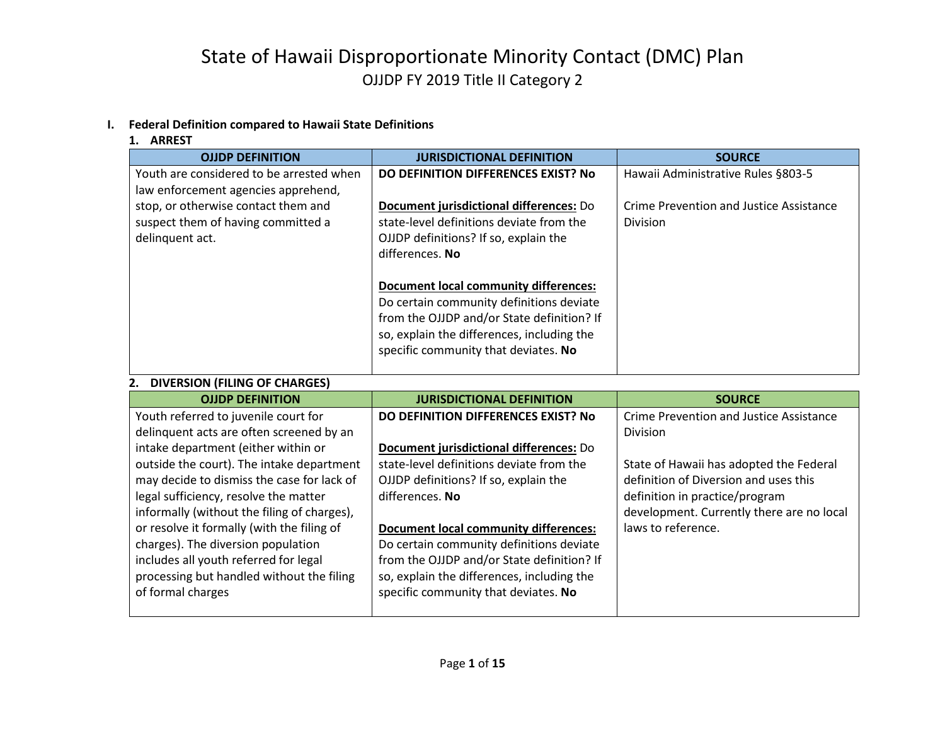#### **I. Federal Definition compared to Hawaii State Definitions**

| L. MINILJI                                                                                   |                                                                                                                                                                                                                                                                                                                                                                                 |                                                            |
|----------------------------------------------------------------------------------------------|---------------------------------------------------------------------------------------------------------------------------------------------------------------------------------------------------------------------------------------------------------------------------------------------------------------------------------------------------------------------------------|------------------------------------------------------------|
| <b>OJJDP DEFINITION</b>                                                                      | <b>JURISDICTIONAL DEFINITION</b>                                                                                                                                                                                                                                                                                                                                                | <b>SOURCE</b>                                              |
| Youth are considered to be arrested when<br>law enforcement agencies apprehend,              | DO DEFINITION DIFFERENCES EXIST? No                                                                                                                                                                                                                                                                                                                                             | Hawaii Administrative Rules §803-5                         |
| stop, or otherwise contact them and<br>suspect them of having committed a<br>delinquent act. | Document jurisdictional differences: Do<br>state-level definitions deviate from the<br>OJJDP definitions? If so, explain the<br>differences. No<br><b>Document local community differences:</b><br>Do certain community definitions deviate<br>from the OJJDP and/or State definition? If<br>so, explain the differences, including the<br>specific community that deviates. No | Crime Prevention and Justice Assistance<br><b>Division</b> |
| DIVERSION (FILING OF CHARGES)                                                                |                                                                                                                                                                                                                                                                                                                                                                                 |                                                            |

#### **1. ARREST**

#### **2. DIVERSION (FILING OF CHARGES)**

| <b>OJJDP DEFINITION</b>                     | <b>JURISDICTIONAL DEFINITION</b>             | <b>SOURCE</b>                             |
|---------------------------------------------|----------------------------------------------|-------------------------------------------|
| Youth referred to juvenile court for        | DO DEFINITION DIFFERENCES EXIST? No          | Crime Prevention and Justice Assistance   |
| delinquent acts are often screened by an    |                                              | <b>Division</b>                           |
| intake department (either within or         | Document jurisdictional differences: Do      |                                           |
| outside the court). The intake department   | state-level definitions deviate from the     | State of Hawaii has adopted the Federal   |
| may decide to dismiss the case for lack of  | OJJDP definitions? If so, explain the        | definition of Diversion and uses this     |
| legal sufficiency, resolve the matter       | differences. No                              | definition in practice/program            |
| informally (without the filing of charges), |                                              | development. Currently there are no local |
| or resolve it formally (with the filing of  | <b>Document local community differences:</b> | laws to reference.                        |
| charges). The diversion population          | Do certain community definitions deviate     |                                           |
| includes all youth referred for legal       | from the OJJDP and/or State definition? If   |                                           |
| processing but handled without the filing   | so, explain the differences, including the   |                                           |
| of formal charges                           | specific community that deviates. No         |                                           |
|                                             |                                              |                                           |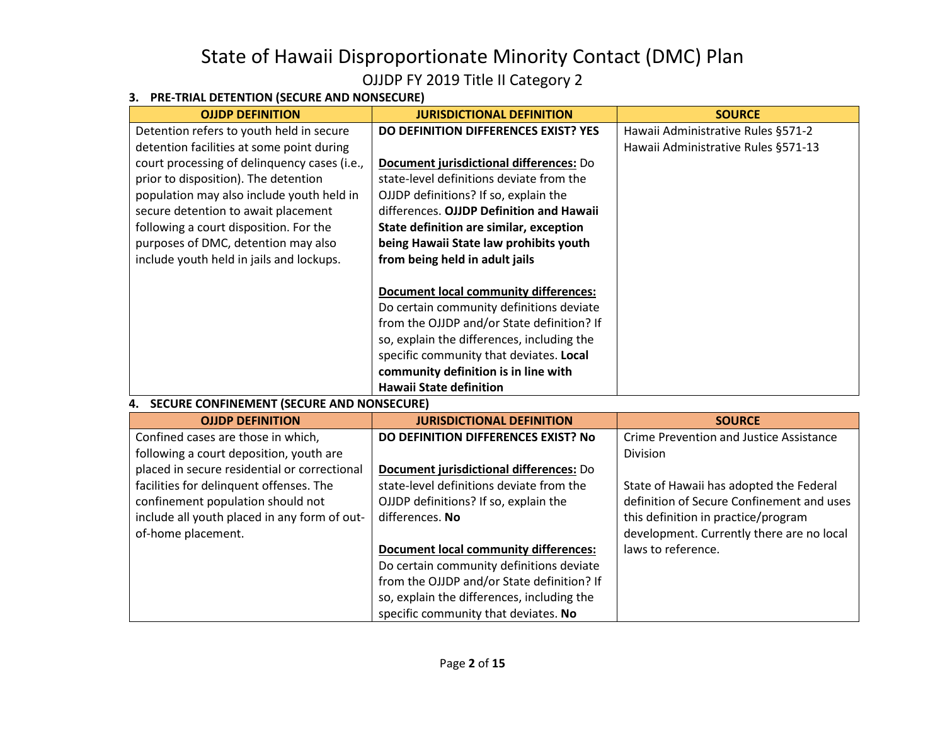### **3. PRE-TRIAL DETENTION (SECURE AND NONSECURE)**

| <b>OJJDP DEFINITION</b>                          | <b>JURISDICTIONAL DEFINITION</b>             | <b>SOURCE</b>                       |
|--------------------------------------------------|----------------------------------------------|-------------------------------------|
| Detention refers to youth held in secure         | <b>DO DEFINITION DIFFERENCES EXIST? YES</b>  | Hawaii Administrative Rules §571-2  |
| detention facilities at some point during        |                                              | Hawaii Administrative Rules §571-13 |
| court processing of delinquency cases (i.e.,     | Document jurisdictional differences: Do      |                                     |
| prior to disposition). The detention             | state-level definitions deviate from the     |                                     |
| population may also include youth held in        | OJJDP definitions? If so, explain the        |                                     |
| secure detention to await placement              | differences. OJJDP Definition and Hawaii     |                                     |
| following a court disposition. For the           | State definition are similar, exception      |                                     |
| purposes of DMC, detention may also              | being Hawaii State law prohibits youth       |                                     |
| include youth held in jails and lockups.         | from being held in adult jails               |                                     |
|                                                  |                                              |                                     |
|                                                  | <b>Document local community differences:</b> |                                     |
|                                                  | Do certain community definitions deviate     |                                     |
|                                                  | from the OJJDP and/or State definition? If   |                                     |
|                                                  | so, explain the differences, including the   |                                     |
|                                                  | specific community that deviates. Local      |                                     |
|                                                  | community definition is in line with         |                                     |
|                                                  | <b>Hawaii State definition</b>               |                                     |
| <b>SECURE CONFINEMENT (SECURE AND NONSECURE)</b> |                                              |                                     |
| AUDD DEFINITIAN                                  | <b>ILIDICOICTIONIAL DEFINITIONI</b>          | $C$ $C$ $D$ $C$ $C$                 |

| <b>OJJDP DEFINITION</b>                      | <b>JURISDICTIONAL DEFINITION</b>             | <b>SOURCE</b>                             |
|----------------------------------------------|----------------------------------------------|-------------------------------------------|
| Confined cases are those in which,           | DO DEFINITION DIFFERENCES EXIST? No          | Crime Prevention and Justice Assistance   |
| following a court deposition, youth are      |                                              | Division                                  |
| placed in secure residential or correctional | Document jurisdictional differences: Do      |                                           |
| facilities for delinquent offenses. The      | state-level definitions deviate from the     | State of Hawaii has adopted the Federal   |
| confinement population should not            | OJJDP definitions? If so, explain the        | definition of Secure Confinement and uses |
| include all youth placed in any form of out- | differences. No                              | this definition in practice/program       |
| of-home placement.                           |                                              | development. Currently there are no local |
|                                              | <b>Document local community differences:</b> | laws to reference.                        |
|                                              | Do certain community definitions deviate     |                                           |
|                                              | from the OJJDP and/or State definition? If   |                                           |
|                                              | so, explain the differences, including the   |                                           |
|                                              | specific community that deviates. No         |                                           |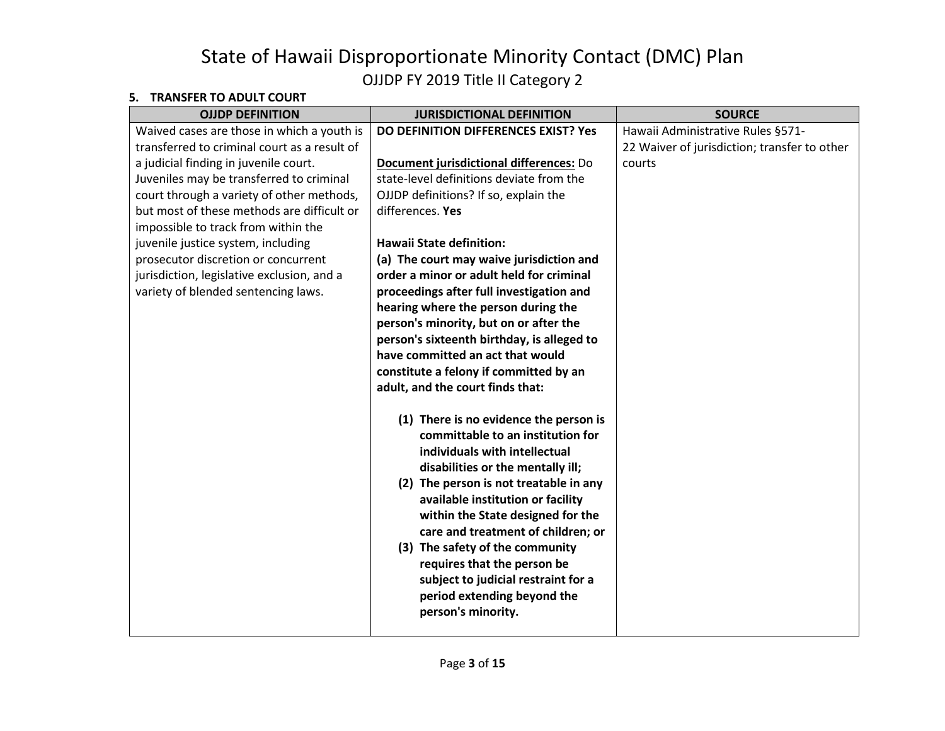#### **5. TRANSFER TO ADULT COURT**

| $11071331$ LIV TV ADVLI C                    |                                            |                                              |
|----------------------------------------------|--------------------------------------------|----------------------------------------------|
| <b>OJJDP DEFINITION</b>                      | <b>JURISDICTIONAL DEFINITION</b>           | <b>SOURCE</b>                                |
| Waived cases are those in which a youth is   | DO DEFINITION DIFFERENCES EXIST? Yes       | Hawaii Administrative Rules §571-            |
| transferred to criminal court as a result of |                                            | 22 Waiver of jurisdiction; transfer to other |
| a judicial finding in juvenile court.        | Document jurisdictional differences: Do    | courts                                       |
| Juveniles may be transferred to criminal     | state-level definitions deviate from the   |                                              |
| court through a variety of other methods,    | OJJDP definitions? If so, explain the      |                                              |
| but most of these methods are difficult or   | differences. Yes                           |                                              |
| impossible to track from within the          |                                            |                                              |
| juvenile justice system, including           | <b>Hawaii State definition:</b>            |                                              |
| prosecutor discretion or concurrent          | (a) The court may waive jurisdiction and   |                                              |
| jurisdiction, legislative exclusion, and a   | order a minor or adult held for criminal   |                                              |
| variety of blended sentencing laws.          | proceedings after full investigation and   |                                              |
|                                              | hearing where the person during the        |                                              |
|                                              | person's minority, but on or after the     |                                              |
|                                              | person's sixteenth birthday, is alleged to |                                              |
|                                              | have committed an act that would           |                                              |
|                                              | constitute a felony if committed by an     |                                              |
|                                              | adult, and the court finds that:           |                                              |
|                                              |                                            |                                              |
|                                              | (1) There is no evidence the person is     |                                              |
|                                              | committable to an institution for          |                                              |
|                                              | individuals with intellectual              |                                              |
|                                              | disabilities or the mentally ill;          |                                              |
|                                              | (2) The person is not treatable in any     |                                              |
|                                              | available institution or facility          |                                              |
|                                              | within the State designed for the          |                                              |
|                                              | care and treatment of children; or         |                                              |
|                                              | (3) The safety of the community            |                                              |
|                                              | requires that the person be                |                                              |
|                                              | subject to judicial restraint for a        |                                              |
|                                              | period extending beyond the                |                                              |
|                                              | person's minority.                         |                                              |
|                                              |                                            |                                              |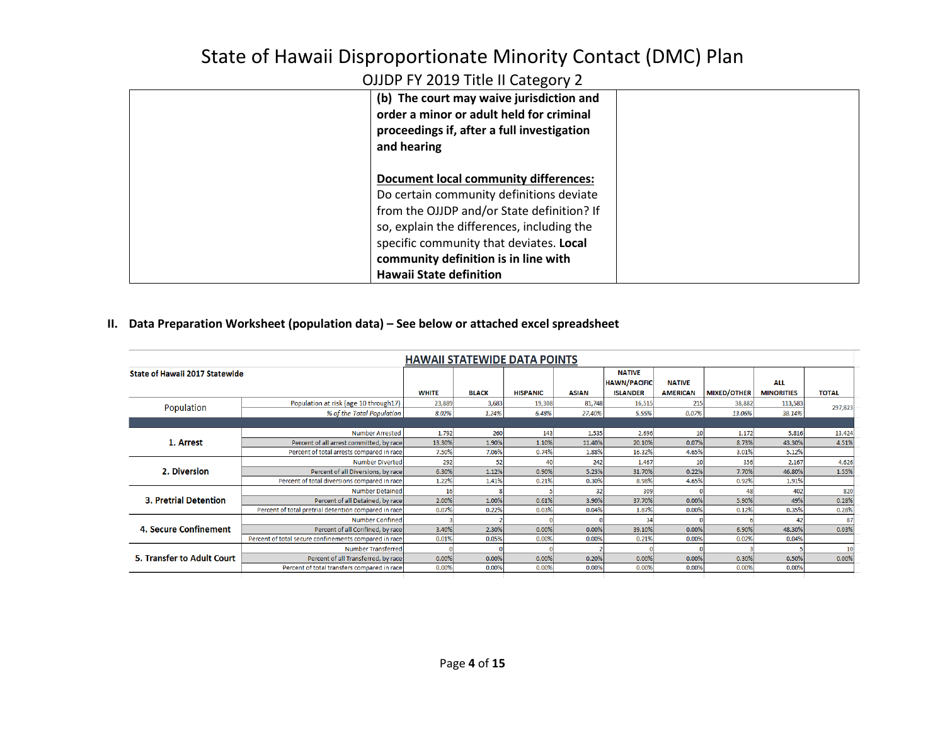| (b) The court may waive jurisdiction and<br>order a minor or adult held for criminal<br>proceedings if, after a full investigation<br>and hearing                                                                                                                                                         |  |
|-----------------------------------------------------------------------------------------------------------------------------------------------------------------------------------------------------------------------------------------------------------------------------------------------------------|--|
| <b>Document local community differences:</b><br>Do certain community definitions deviate<br>from the OJJDP and/or State definition? If<br>so, explain the differences, including the<br>specific community that deviates. Local<br>community definition is in line with<br><b>Hawaii State definition</b> |  |

#### **II. Data Preparation Worksheet (population data) – See below or attached excel spreadsheet**

| <b>HAWAII STATEWIDE DATA POINTS</b> |                                                       |              |              |                 |              |                                      |                 |                    |                   |              |
|-------------------------------------|-------------------------------------------------------|--------------|--------------|-----------------|--------------|--------------------------------------|-----------------|--------------------|-------------------|--------------|
| State of Hawaii 2017 Statewide      |                                                       |              |              |                 |              | <b>NATIVE</b><br><b>HAWN/PACIFIC</b> | <b>NATIVE</b>   |                    | <b>ALL</b>        |              |
|                                     |                                                       | <b>WHITE</b> | <b>BLACK</b> | <b>HISPANIC</b> | <b>ASIAN</b> | <b>ISLANDER</b>                      | <b>AMERICAN</b> | <b>MIXED/OTHER</b> | <b>MINORITIES</b> | <b>TOTAL</b> |
| Population                          | Population at risk (age 10 through 17)                | 23,889       | 3,683        | 19,308          | 81,748       | 16,515                               | 215             | 38,882             | 113,583           | 297,823      |
|                                     | % of the Total Population                             | 8.02%        | 1.24%        | 6.48%           | 27.40%       | 5.55%                                | 0.07%           | 13.06%             | 38.14%            |              |
|                                     |                                                       |              |              |                 |              |                                      |                 |                    |                   |              |
|                                     | <b>Number Arrested</b>                                | 1,792        | <b>260</b>   | 143             | 1,535        | 2,696                                | 10              | 1,172              | 5,816             | 13,424       |
| 1. Arrest                           | Percent of all arrest committed, by race              | 13.30%       | 1.90%        | 1.10%           | 11.40%       | 20.10%                               | 0.07%           | 8.73%              | 43.30%            | 4.51%        |
|                                     | Percent of total arrests compared in race             | 7.50%        | 7.06%        | 0.74%           | 1.88%        | 16.32%                               | 4.65%           | 3.01%              | 5.12%             |              |
|                                     | <b>Number Diverted</b>                                | 292          | 52           | 40              | 242          | 1,467                                | 10              | 356                | 2,167             | 4,626        |
| 2. Diversion                        | Percent of all Diversions, by race                    | 6.30%        | 1.12%        | 0.90%           | 5.23%        | 31.70%                               | 0.22%           | 7.70%              | 46.80%            | 1.55%        |
|                                     | Percent of total diversions compared in race          | 1.22%        | 1.41%        | 0.21%           | 0.30%        | 8.98%                                | 4.65%           | 0.92%              | 1.91%             |              |
|                                     | <b>Number Detained</b>                                | 16           |              |                 | 32           | 309                                  |                 | 48                 | 402               | 820          |
| <b>3. Pretrial Detention</b>        | Percent of all Detained, by race                      | 2.00%        | 1.00%        | 0.61%           | 3.90%        | 37.70%                               | 0.00%           | 5.90%              | 49%               | 0.28%        |
|                                     | Percent of total pretrial detention compared in race  | 0.07%        | 0.22%        | 0.03%           | 0.04%        | 1.87%                                | 0.00%           | 0.12%              | 0.35%             | 0.28%        |
|                                     | Number Confined                                       |              |              |                 |              | 34                                   |                 |                    | 42                | 87           |
| 4. Secure Confinement               | Percent of all Confined, by race                      | 3.40%        | 2.30%        | 0.00%           | 0.00%        | 39.10%                               | 0.00%           | 6.90%              | 48.30%            | 0.03%        |
|                                     | Percent of total secure confinements compared in race | 0.01%        | 0.05%        | 0.00%           | 0.00%        | 0.21%                                | 0.00%           | 0.02%              | 0.04%             |              |
|                                     | <b>Number Transferred</b>                             |              |              |                 |              |                                      |                 |                    |                   | 10           |
| 5. Transfer to Adult Court          | Percent of all Transferred, by race                   | 0.00%        | 0.00%        | 0.00%           | 0.20%        | 0.00%                                | 0.00%           | 0.30%              | 0.50%             | 0.00%        |
|                                     | Percent of total transfers compared in race           | 0.00%        | 0.00%        | 0.00%           | 0.00%        | 0.00%                                | 0.00%           | 0.00%              | 0.00%             |              |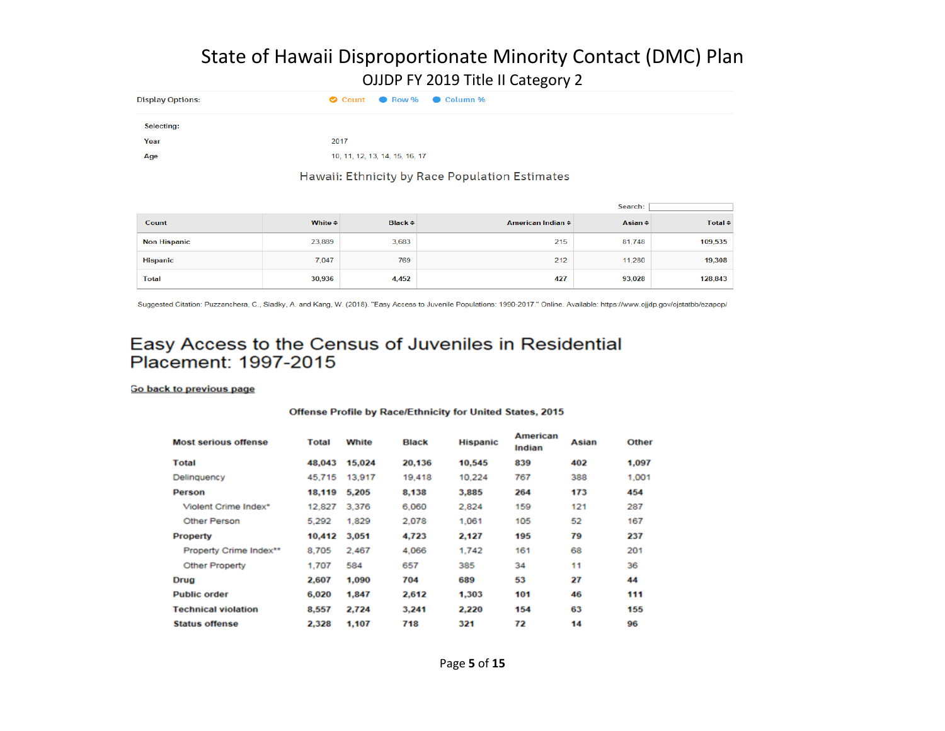| <b>Display Options:</b> | Count C Row % Column %         |
|-------------------------|--------------------------------|
| <b>Selecting:</b>       |                                |
| Year                    | 2017                           |
| Age                     | 10, 11, 12, 13, 14, 15, 16, 17 |
|                         |                                |

#### Hawaii: Ethnicity by Race Population Estimates

|                     |                         |                    |                   | Search:           |                    |
|---------------------|-------------------------|--------------------|-------------------|-------------------|--------------------|
| Count               | White $\Leftrightarrow$ | Black $\triangleq$ | American Indian ≑ | Asian $\triangle$ | Total $\triangleq$ |
| <b>Non Hispanic</b> | 23,889                  | 3,683              | 215               | 81,748            | 109,535            |
| <b>Hispanic</b>     | 7,047                   | 769                | 212               | 11,280            | 19,308             |
| <b>Total</b>        | 30,936                  | 4,452              | 427               | 93,028            | 128,843            |

Suggested Citation: Puzzanchera, C., Sladky, A. and Kang, W. (2018). "Easy Access to Juvenile Populations: 1990-2017." Online. Available: https://www.ojjdp.gov/ojstatbb/ezapop/

### Easy Access to the Census of Juveniles in Residential Placement: 1997-2015

#### Go back to previous page

#### Offense Profile by Race/Ethnicity for United States, 2015

| <b>Most serious offense</b> | <b>Total</b> | <b>White</b> | <b>Black</b> | <b>Hispanic</b> | American<br>Indian | Asian | Other |
|-----------------------------|--------------|--------------|--------------|-----------------|--------------------|-------|-------|
| <b>Total</b>                | 48,043       | 15,024       | 20,136       | 10,545          | 839                | 402   | 1,097 |
| Delinquency                 | 45,715       | 13,917       | 19,418       | 10.224          | 767                | 388   | 1,001 |
| Person                      | 18,119       | 5,205        | 8.138        | 3,885           | 264                | 173   | 454   |
| Violent Crime Index*        | 12,827       | 3.376        | 6.060        | 2.824           | 159                | 121   | 287   |
| Other Person                | 5.292        | 1,829        | 2.078        | 1.061           | 105                | 52    | 167   |
| <b>Property</b>             | 10,412       | 3,051        | 4,723        | 2,127           | 195                | 79    | 237   |
| Property Crime Index**      | 8,705        | 2,467        | 4,066        | 1,742           | 161                | 68    | 201   |
| <b>Other Property</b>       | 1.707        | 584          | 657          | 385             | 34                 | 11    | 36    |
| Drug                        | 2,607        | 1,090        | 704          | 689             | 53                 | 27    | 44    |
| <b>Public order</b>         | 6,020        | 1,847        | 2,612        | 1.303           | 101                | 46    | 111   |
| <b>Technical violation</b>  | 8,557        | 2.724        | 3.241        | 2.220           | 154                | 63    | 155   |
| <b>Status offense</b>       | 2,328        | 1.107        | 718          | 321             | 72                 | 14    | 96    |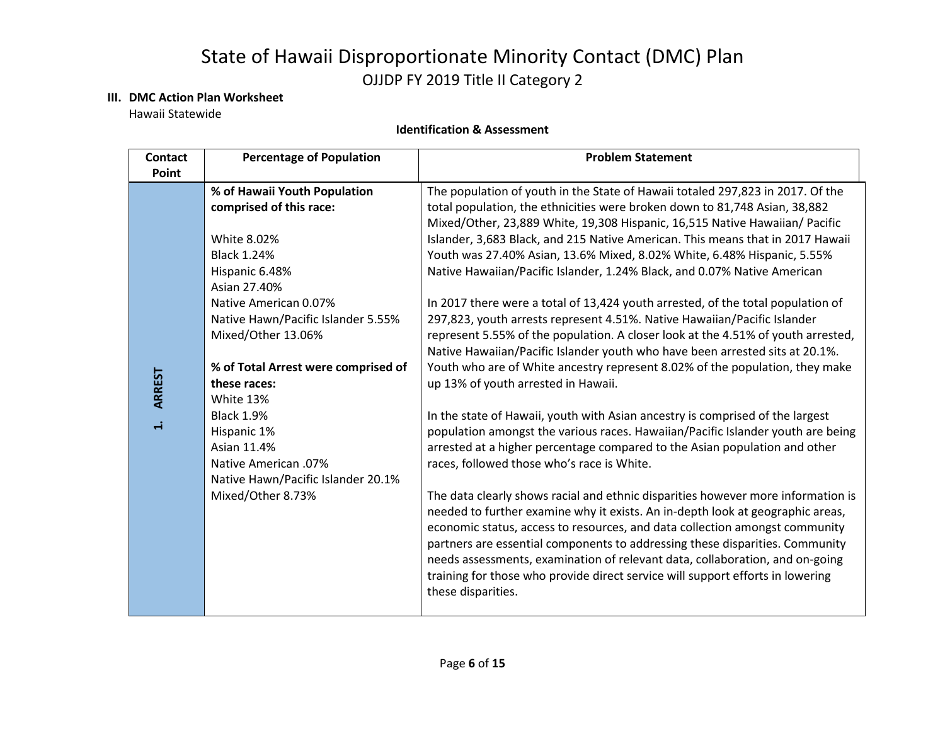#### **III. DMC Action Plan Worksheet**

Hawaii Statewide

#### **Identification & Assessment**

| <b>Contact</b><br>Point     | <b>Percentage of Population</b>                                                                                                                                                                                                                                                                                                                                                                                                      | <b>Problem Statement</b>                                                                                                                                                                                                                                                                                                                                                                                                                                                                                                                                                                                                                                                                                                                                                                                                                                                                                                                                                                                                                                                                                                                                                                                                                                                                                                                                                                                                                                                                                                                                                                                                                                                                                                                                                    |
|-----------------------------|--------------------------------------------------------------------------------------------------------------------------------------------------------------------------------------------------------------------------------------------------------------------------------------------------------------------------------------------------------------------------------------------------------------------------------------|-----------------------------------------------------------------------------------------------------------------------------------------------------------------------------------------------------------------------------------------------------------------------------------------------------------------------------------------------------------------------------------------------------------------------------------------------------------------------------------------------------------------------------------------------------------------------------------------------------------------------------------------------------------------------------------------------------------------------------------------------------------------------------------------------------------------------------------------------------------------------------------------------------------------------------------------------------------------------------------------------------------------------------------------------------------------------------------------------------------------------------------------------------------------------------------------------------------------------------------------------------------------------------------------------------------------------------------------------------------------------------------------------------------------------------------------------------------------------------------------------------------------------------------------------------------------------------------------------------------------------------------------------------------------------------------------------------------------------------------------------------------------------------|
| <b>ARREST</b><br>$\ddot{ }$ | % of Hawaii Youth Population<br>comprised of this race:<br><b>White 8.02%</b><br><b>Black 1.24%</b><br>Hispanic 6.48%<br>Asian 27.40%<br>Native American 0.07%<br>Native Hawn/Pacific Islander 5.55%<br>Mixed/Other 13.06%<br>% of Total Arrest were comprised of<br>these races:<br>White 13%<br><b>Black 1.9%</b><br>Hispanic 1%<br>Asian 11.4%<br>Native American .07%<br>Native Hawn/Pacific Islander 20.1%<br>Mixed/Other 8.73% | The population of youth in the State of Hawaii totaled 297,823 in 2017. Of the<br>total population, the ethnicities were broken down to 81,748 Asian, 38,882<br>Mixed/Other, 23,889 White, 19,308 Hispanic, 16,515 Native Hawaiian/ Pacific<br>Islander, 3,683 Black, and 215 Native American. This means that in 2017 Hawaii<br>Youth was 27.40% Asian, 13.6% Mixed, 8.02% White, 6.48% Hispanic, 5.55%<br>Native Hawaiian/Pacific Islander, 1.24% Black, and 0.07% Native American<br>In 2017 there were a total of 13,424 youth arrested, of the total population of<br>297,823, youth arrests represent 4.51%. Native Hawaiian/Pacific Islander<br>represent 5.55% of the population. A closer look at the 4.51% of youth arrested,<br>Native Hawaiian/Pacific Islander youth who have been arrested sits at 20.1%.<br>Youth who are of White ancestry represent 8.02% of the population, they make<br>up 13% of youth arrested in Hawaii.<br>In the state of Hawaii, youth with Asian ancestry is comprised of the largest<br>population amongst the various races. Hawaiian/Pacific Islander youth are being<br>arrested at a higher percentage compared to the Asian population and other<br>races, followed those who's race is White.<br>The data clearly shows racial and ethnic disparities however more information is<br>needed to further examine why it exists. An in-depth look at geographic areas,<br>economic status, access to resources, and data collection amongst community<br>partners are essential components to addressing these disparities. Community<br>needs assessments, examination of relevant data, collaboration, and on-going<br>training for those who provide direct service will support efforts in lowering<br>these disparities. |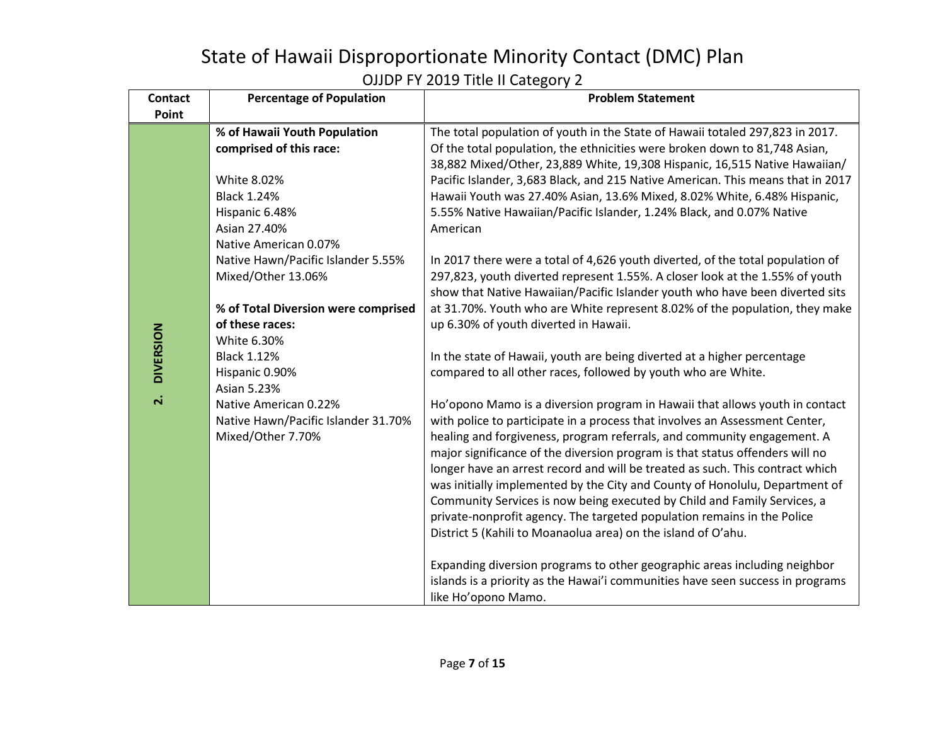| <b>Contact</b>   | <b>Percentage of Population</b>                                                                 | <b>Problem Statement</b>                                                                                                                                                                                                                                                                                                                                                                                                                                                                                                                                                                                                                                                                                      |
|------------------|-------------------------------------------------------------------------------------------------|---------------------------------------------------------------------------------------------------------------------------------------------------------------------------------------------------------------------------------------------------------------------------------------------------------------------------------------------------------------------------------------------------------------------------------------------------------------------------------------------------------------------------------------------------------------------------------------------------------------------------------------------------------------------------------------------------------------|
| Point            |                                                                                                 |                                                                                                                                                                                                                                                                                                                                                                                                                                                                                                                                                                                                                                                                                                               |
|                  | % of Hawaii Youth Population<br>comprised of this race:<br>White 8.02%                          | The total population of youth in the State of Hawaii totaled 297,823 in 2017.<br>Of the total population, the ethnicities were broken down to 81,748 Asian,<br>38,882 Mixed/Other, 23,889 White, 19,308 Hispanic, 16,515 Native Hawaiian/<br>Pacific Islander, 3,683 Black, and 215 Native American. This means that in 2017                                                                                                                                                                                                                                                                                                                                                                                  |
|                  | <b>Black 1.24%</b><br>Hispanic 6.48%<br>Asian 27.40%<br>Native American 0.07%                   | Hawaii Youth was 27.40% Asian, 13.6% Mixed, 8.02% White, 6.48% Hispanic,<br>5.55% Native Hawaiian/Pacific Islander, 1.24% Black, and 0.07% Native<br>American                                                                                                                                                                                                                                                                                                                                                                                                                                                                                                                                                 |
|                  | Native Hawn/Pacific Islander 5.55%<br>Mixed/Other 13.06%<br>% of Total Diversion were comprised | In 2017 there were a total of 4,626 youth diverted, of the total population of<br>297,823, youth diverted represent 1.55%. A closer look at the 1.55% of youth<br>show that Native Hawaiian/Pacific Islander youth who have been diverted sits<br>at 31.70%. Youth who are White represent 8.02% of the population, they make                                                                                                                                                                                                                                                                                                                                                                                 |
| <b>DIVERSION</b> | of these races:<br>White 6.30%<br><b>Black 1.12%</b><br>Hispanic 0.90%<br><b>Asian 5.23%</b>    | up 6.30% of youth diverted in Hawaii.<br>In the state of Hawaii, youth are being diverted at a higher percentage<br>compared to all other races, followed by youth who are White.                                                                                                                                                                                                                                                                                                                                                                                                                                                                                                                             |
| $\mathbf{a}$     | Native American 0.22%<br>Native Hawn/Pacific Islander 31.70%<br>Mixed/Other 7.70%               | Ho'opono Mamo is a diversion program in Hawaii that allows youth in contact<br>with police to participate in a process that involves an Assessment Center,<br>healing and forgiveness, program referrals, and community engagement. A<br>major significance of the diversion program is that status offenders will no<br>longer have an arrest record and will be treated as such. This contract which<br>was initially implemented by the City and County of Honolulu, Department of<br>Community Services is now being executed by Child and Family Services, a<br>private-nonprofit agency. The targeted population remains in the Police<br>District 5 (Kahili to Moanaolua area) on the island of O'ahu. |
|                  |                                                                                                 | Expanding diversion programs to other geographic areas including neighbor<br>islands is a priority as the Hawai'i communities have seen success in programs<br>like Ho'opono Mamo.                                                                                                                                                                                                                                                                                                                                                                                                                                                                                                                            |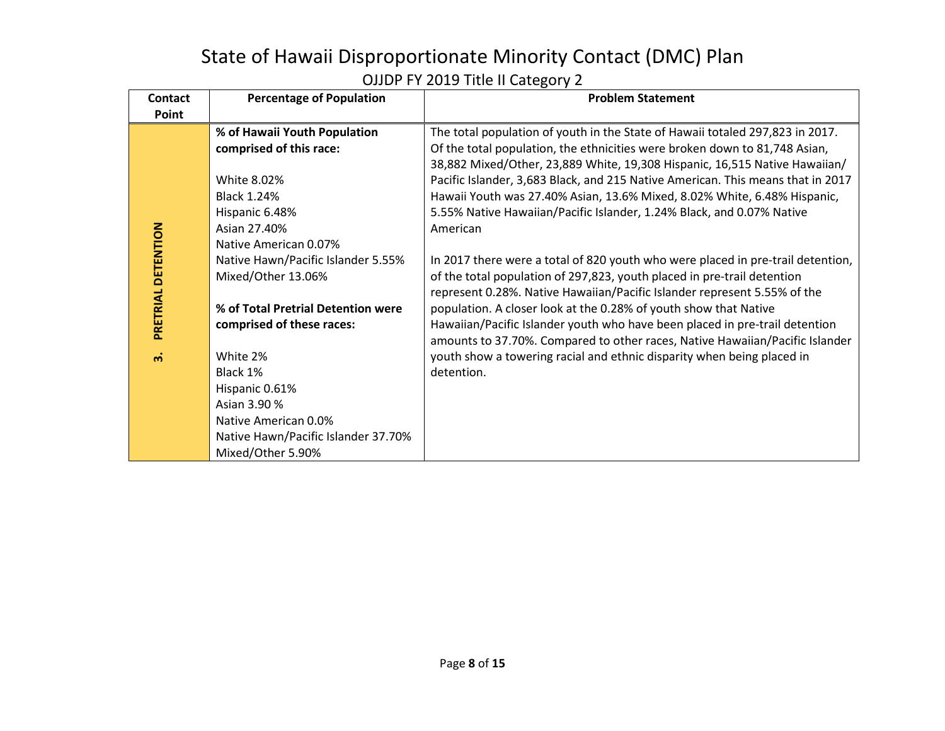| <b>Contact</b><br>Point | <b>Percentage of Population</b>     | <b>Problem Statement</b>                                                                                                                                 |  |  |  |  |
|-------------------------|-------------------------------------|----------------------------------------------------------------------------------------------------------------------------------------------------------|--|--|--|--|
|                         |                                     |                                                                                                                                                          |  |  |  |  |
|                         | % of Hawaii Youth Population        | The total population of youth in the State of Hawaii totaled 297,823 in 2017.                                                                            |  |  |  |  |
|                         | comprised of this race:             | Of the total population, the ethnicities were broken down to 81,748 Asian,<br>38,882 Mixed/Other, 23,889 White, 19,308 Hispanic, 16,515 Native Hawaiian/ |  |  |  |  |
|                         |                                     |                                                                                                                                                          |  |  |  |  |
|                         | White 8.02%                         | Pacific Islander, 3,683 Black, and 215 Native American. This means that in 2017                                                                          |  |  |  |  |
| PRETRIAL DETENTION      | <b>Black 1.24%</b>                  | Hawaii Youth was 27.40% Asian, 13.6% Mixed, 8.02% White, 6.48% Hispanic,                                                                                 |  |  |  |  |
|                         | Hispanic 6.48%                      | 5.55% Native Hawaiian/Pacific Islander, 1.24% Black, and 0.07% Native                                                                                    |  |  |  |  |
|                         | Asian 27.40%                        | American                                                                                                                                                 |  |  |  |  |
|                         | Native American 0.07%               |                                                                                                                                                          |  |  |  |  |
|                         | Native Hawn/Pacific Islander 5.55%  | In 2017 there were a total of 820 youth who were placed in pre-trail detention,                                                                          |  |  |  |  |
|                         | Mixed/Other 13.06%                  | of the total population of 297,823, youth placed in pre-trail detention                                                                                  |  |  |  |  |
|                         |                                     | represent 0.28%. Native Hawaiian/Pacific Islander represent 5.55% of the                                                                                 |  |  |  |  |
|                         | % of Total Pretrial Detention were  | population. A closer look at the 0.28% of youth show that Native                                                                                         |  |  |  |  |
|                         | comprised of these races:           | Hawaiian/Pacific Islander youth who have been placed in pre-trail detention                                                                              |  |  |  |  |
|                         |                                     | amounts to 37.70%. Compared to other races, Native Hawaiian/Pacific Islander                                                                             |  |  |  |  |
| $\ddot{\mathsf{n}}$     | White 2%                            | youth show a towering racial and ethnic disparity when being placed in                                                                                   |  |  |  |  |
|                         | Black 1%                            | detention.                                                                                                                                               |  |  |  |  |
|                         | Hispanic 0.61%                      |                                                                                                                                                          |  |  |  |  |
|                         | Asian 3.90 %                        |                                                                                                                                                          |  |  |  |  |
|                         | Native American 0.0%                |                                                                                                                                                          |  |  |  |  |
|                         | Native Hawn/Pacific Islander 37.70% |                                                                                                                                                          |  |  |  |  |
|                         | Mixed/Other 5.90%                   |                                                                                                                                                          |  |  |  |  |
|                         |                                     |                                                                                                                                                          |  |  |  |  |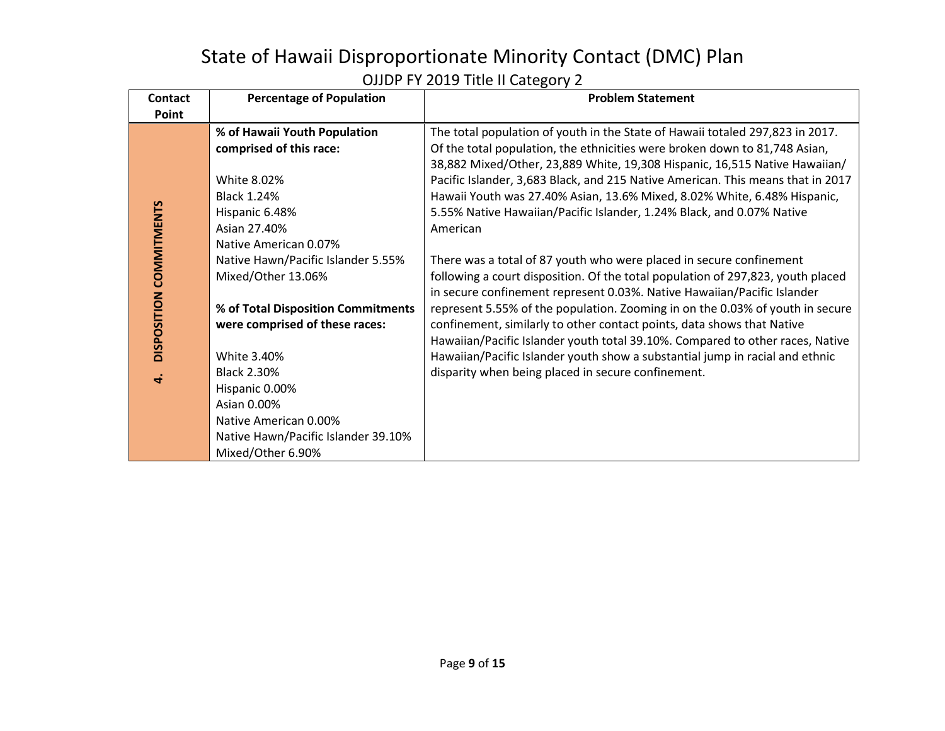| <b>Contact</b>          | <b>Percentage of Population</b>     | <b>Problem Statement</b>                                                        |  |  |  |  |
|-------------------------|-------------------------------------|---------------------------------------------------------------------------------|--|--|--|--|
| Point                   |                                     |                                                                                 |  |  |  |  |
|                         | % of Hawaii Youth Population        | The total population of youth in the State of Hawaii totaled 297,823 in 2017.   |  |  |  |  |
|                         | comprised of this race:             | Of the total population, the ethnicities were broken down to 81,748 Asian,      |  |  |  |  |
|                         |                                     | 38,882 Mixed/Other, 23,889 White, 19,308 Hispanic, 16,515 Native Hawaiian/      |  |  |  |  |
|                         | White 8.02%                         | Pacific Islander, 3,683 Black, and 215 Native American. This means that in 2017 |  |  |  |  |
|                         | <b>Black 1.24%</b>                  | Hawaii Youth was 27.40% Asian, 13.6% Mixed, 8.02% White, 6.48% Hispanic,        |  |  |  |  |
| DISPOSITION COMMITMENTS | Hispanic 6.48%                      | 5.55% Native Hawaiian/Pacific Islander, 1.24% Black, and 0.07% Native           |  |  |  |  |
|                         | Asian 27.40%                        | American                                                                        |  |  |  |  |
|                         | Native American 0.07%               |                                                                                 |  |  |  |  |
|                         | Native Hawn/Pacific Islander 5.55%  | There was a total of 87 youth who were placed in secure confinement             |  |  |  |  |
|                         | Mixed/Other 13.06%                  | following a court disposition. Of the total population of 297,823, youth placed |  |  |  |  |
|                         |                                     | in secure confinement represent 0.03%. Native Hawaiian/Pacific Islander         |  |  |  |  |
|                         | % of Total Disposition Commitments  | represent 5.55% of the population. Zooming in on the 0.03% of youth in secure   |  |  |  |  |
|                         | were comprised of these races:      | confinement, similarly to other contact points, data shows that Native          |  |  |  |  |
|                         |                                     | Hawaiian/Pacific Islander youth total 39.10%. Compared to other races, Native   |  |  |  |  |
|                         | White 3.40%                         | Hawaiian/Pacific Islander youth show a substantial jump in racial and ethnic    |  |  |  |  |
|                         | <b>Black 2.30%</b>                  | disparity when being placed in secure confinement.                              |  |  |  |  |
| ਚੰ                      | Hispanic 0.00%                      |                                                                                 |  |  |  |  |
|                         | Asian 0.00%                         |                                                                                 |  |  |  |  |
|                         | Native American 0.00%               |                                                                                 |  |  |  |  |
|                         | Native Hawn/Pacific Islander 39.10% |                                                                                 |  |  |  |  |
|                         | Mixed/Other 6.90%                   |                                                                                 |  |  |  |  |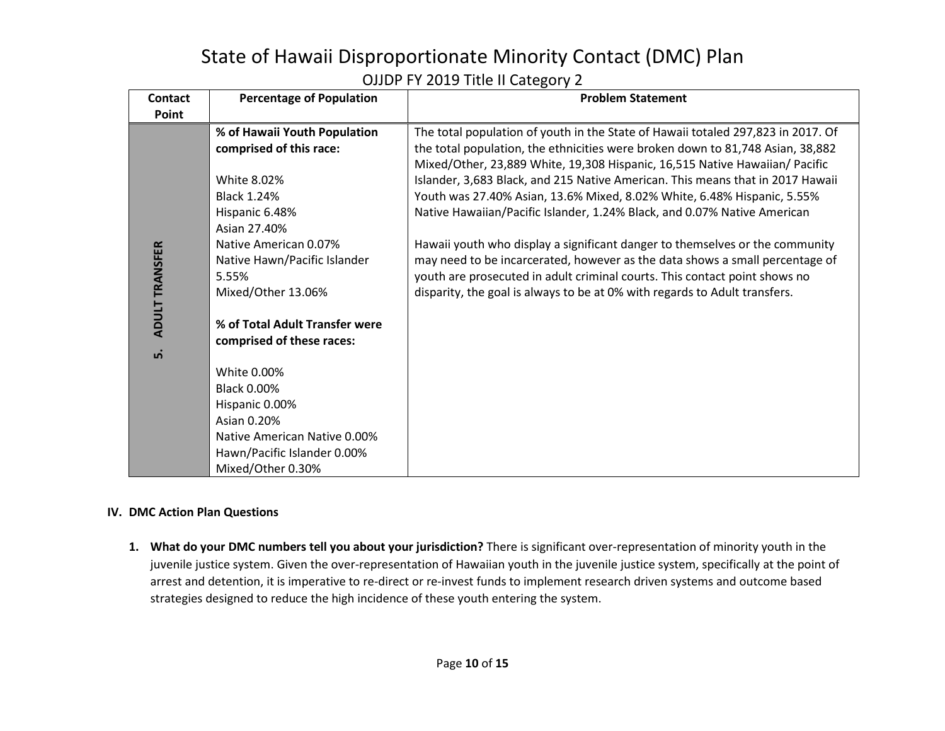| <b>Contact</b>        | <b>Percentage of Population</b> | <b>Problem Statement</b>                                                         |  |  |  |  |
|-----------------------|---------------------------------|----------------------------------------------------------------------------------|--|--|--|--|
| Point                 |                                 |                                                                                  |  |  |  |  |
|                       | % of Hawaii Youth Population    | The total population of youth in the State of Hawaii totaled 297,823 in 2017. Of |  |  |  |  |
|                       | comprised of this race:         | the total population, the ethnicities were broken down to 81,748 Asian, 38,882   |  |  |  |  |
|                       |                                 | Mixed/Other, 23,889 White, 19,308 Hispanic, 16,515 Native Hawaiian/ Pacific      |  |  |  |  |
|                       | <b>White 8.02%</b>              | Islander, 3,683 Black, and 215 Native American. This means that in 2017 Hawaii   |  |  |  |  |
|                       | <b>Black 1.24%</b>              | Youth was 27.40% Asian, 13.6% Mixed, 8.02% White, 6.48% Hispanic, 5.55%          |  |  |  |  |
|                       | Hispanic 6.48%                  | Native Hawaiian/Pacific Islander, 1.24% Black, and 0.07% Native American         |  |  |  |  |
|                       | Asian 27.40%                    |                                                                                  |  |  |  |  |
|                       | Native American 0.07%           | Hawaii youth who display a significant danger to themselves or the community     |  |  |  |  |
|                       | Native Hawn/Pacific Islander    | may need to be incarcerated, however as the data shows a small percentage of     |  |  |  |  |
|                       | 5.55%                           | youth are prosecuted in adult criminal courts. This contact point shows no       |  |  |  |  |
| <b>ADULT TRANSFER</b> | Mixed/Other 13.06%              | disparity, the goal is always to be at 0% with regards to Adult transfers.       |  |  |  |  |
|                       |                                 |                                                                                  |  |  |  |  |
|                       | % of Total Adult Transfer were  |                                                                                  |  |  |  |  |
|                       | comprised of these races:       |                                                                                  |  |  |  |  |
| ம்                    |                                 |                                                                                  |  |  |  |  |
|                       | White 0.00%                     |                                                                                  |  |  |  |  |
|                       | <b>Black 0.00%</b>              |                                                                                  |  |  |  |  |
|                       | Hispanic 0.00%                  |                                                                                  |  |  |  |  |
|                       | Asian 0.20%                     |                                                                                  |  |  |  |  |
|                       | Native American Native 0.00%    |                                                                                  |  |  |  |  |
|                       | Hawn/Pacific Islander 0.00%     |                                                                                  |  |  |  |  |
|                       | Mixed/Other 0.30%               |                                                                                  |  |  |  |  |

#### **IV. DMC Action Plan Questions**

**1. What do your DMC numbers tell you about your jurisdiction?** There is significant over-representation of minority youth in the juvenile justice system. Given the over-representation of Hawaiian youth in the juvenile justice system, specifically at the point of arrest and detention, it is imperative to re-direct or re-invest funds to implement research driven systems and outcome based strategies designed to reduce the high incidence of these youth entering the system.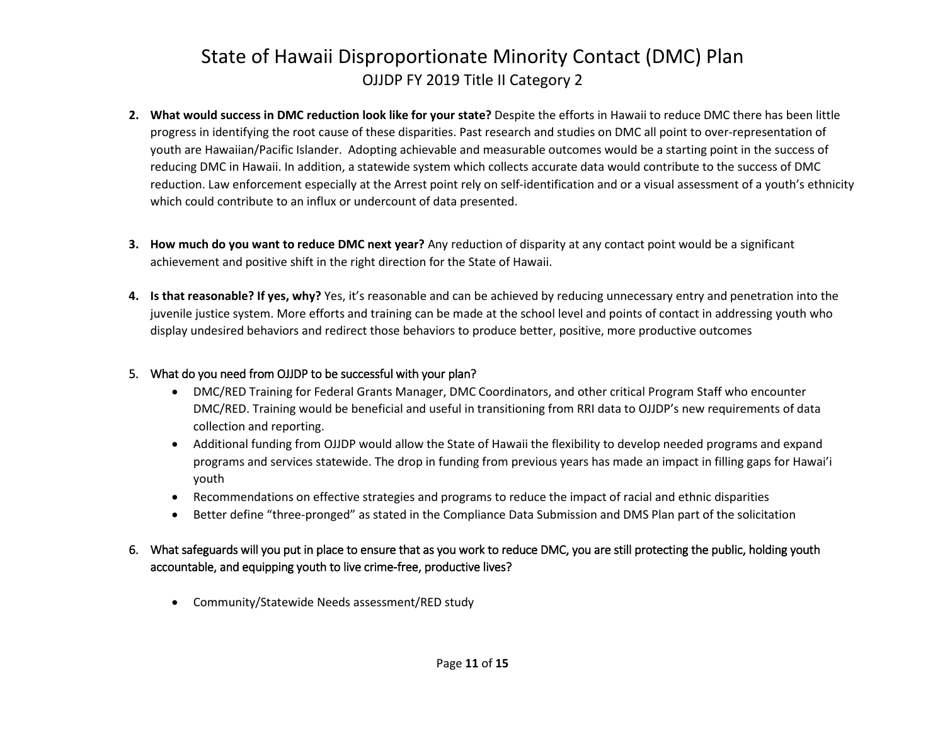- **2. What would success in DMC reduction look like for your state?** Despite the efforts in Hawaii to reduce DMC there has been little progress in identifying the root cause of these disparities. Past research and studies on DMC all point to over-representation of youth are Hawaiian/Pacific Islander. Adopting achievable and measurable outcomes would be a starting point in the success of reducing DMC in Hawaii. In addition, a statewide system which collects accurate data would contribute to the success of DMC reduction. Law enforcement especially at the Arrest point rely on self-identification and or a visual assessment of a youth's ethnicity which could contribute to an influx or undercount of data presented.
- **3. How much do you want to reduce DMC next year?** Any reduction of disparity at any contact point would be a significant achievement and positive shift in the right direction for the State of Hawaii.
- **4. Is that reasonable? If yes, why?** Yes, it's reasonable and can be achieved by reducing unnecessary entry and penetration into the juvenile justice system. More efforts and training can be made at the school level and points of contact in addressing youth who display undesired behaviors and redirect those behaviors to produce better, positive, more productive outcomes

#### 5. What do you need from OJJDP to be successful with your plan?

- DMC/RED Training for Federal Grants Manager, DMC Coordinators, and other critical Program Staff who encounter DMC/RED. Training would be beneficial and useful in transitioning from RRI data to OJJDP's new requirements of data collection and reporting.
- Additional funding from OJJDP would allow the State of Hawaii the flexibility to develop needed programs and expand programs and services statewide. The drop in funding from previous years has made an impact in filling gaps for Hawai'i youth
- Recommendations on effective strategies and programs to reduce the impact of racial and ethnic disparities
- Better define "three-pronged" as stated in the Compliance Data Submission and DMS Plan part of the solicitation

### 6. What safeguards will you put in place to ensure that as you work to reduce DMC, you are still protecting the public, holding youth accountable, and equipping youth to live crime-free, productive lives?

• Community/Statewide Needs assessment/RED study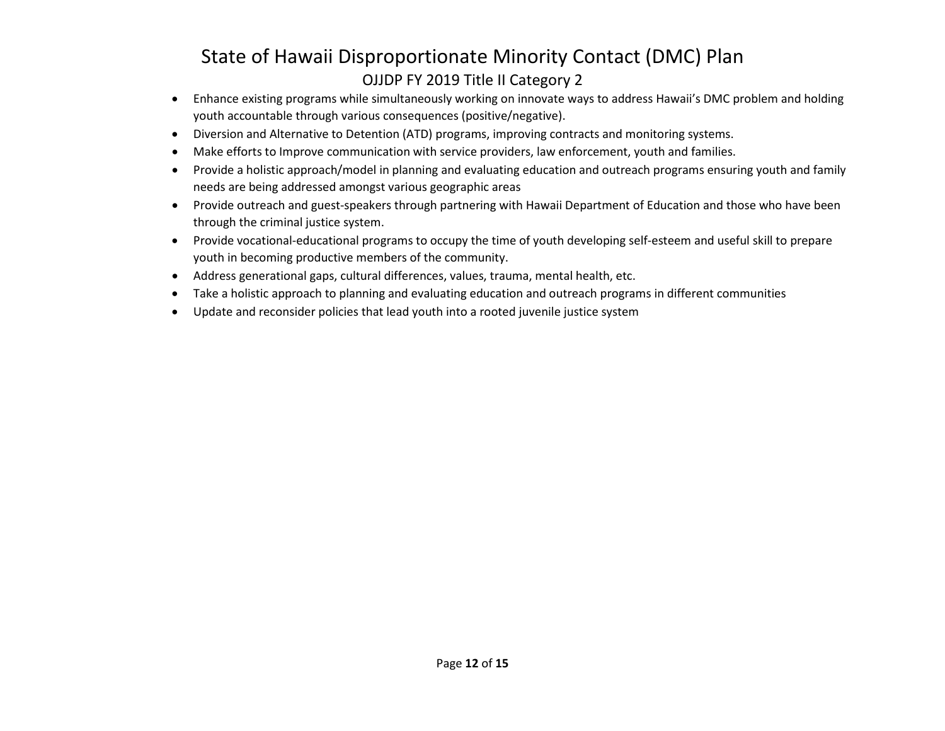- Enhance existing programs while simultaneously working on innovate ways to address Hawaii's DMC problem and holding youth accountable through various consequences (positive/negative).
- Diversion and Alternative to Detention (ATD) programs, improving contracts and monitoring systems.
- Make efforts to Improve communication with service providers, law enforcement, youth and families.
- Provide a holistic approach/model in planning and evaluating education and outreach programs ensuring youth and family needs are being addressed amongst various geographic areas
- Provide outreach and guest-speakers through partnering with Hawaii Department of Education and those who have been through the criminal justice system.
- Provide vocational-educational programs to occupy the time of youth developing self-esteem and useful skill to prepare youth in becoming productive members of the community.
- Address generational gaps, cultural differences, values, trauma, mental health, etc.
- Take a holistic approach to planning and evaluating education and outreach programs in different communities
- Update and reconsider policies that lead youth into a rooted juvenile justice system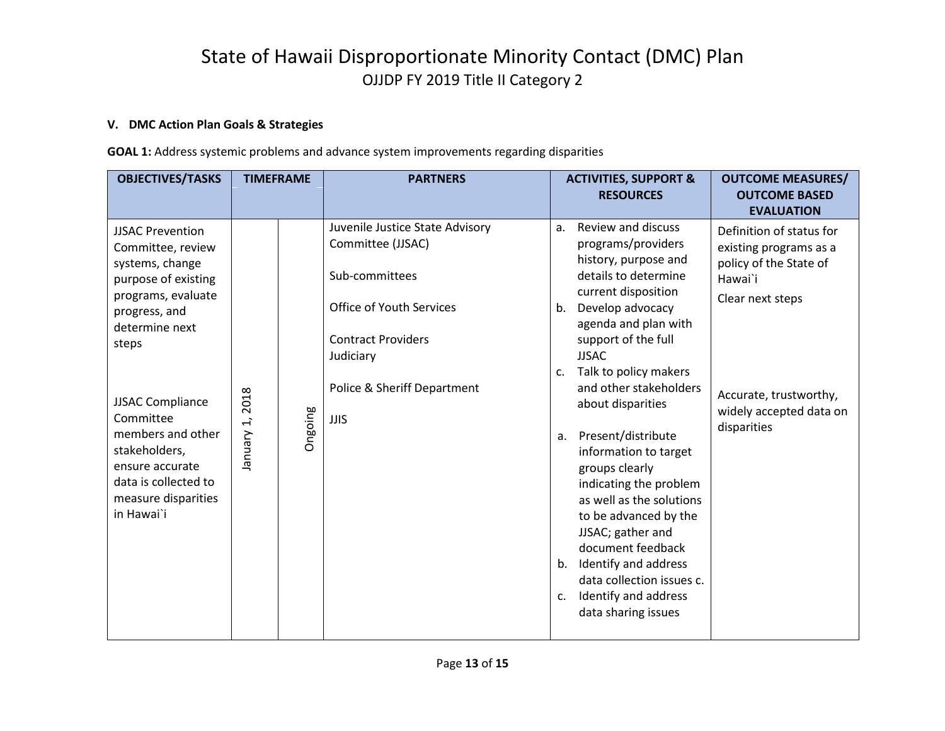### **V. DMC Action Plan Goals & Strategies**

**GOAL 1:** Address systemic problems and advance system improvements regarding disparities

| <b>Review and discuss</b><br>Juvenile Justice State Advisory<br>$a_{\cdot}$<br><b>JJSAC Prevention</b>                                                                                                                                                                                                                                                                                                                                                                                                                                                                                                                                                                                                                                                                                                                                                                                                                                                                                                                                                                                         | <b>OBJECTIVES/TASKS</b> | <b>TIMEFRAME</b> | <b>PARTNERS</b>   | <b>ACTIVITIES, SUPPORT &amp;</b><br><b>RESOURCES</b> | <b>OUTCOME MEASURES/</b><br><b>OUTCOME BASED</b><br><b>EVALUATION</b>                                                             |
|------------------------------------------------------------------------------------------------------------------------------------------------------------------------------------------------------------------------------------------------------------------------------------------------------------------------------------------------------------------------------------------------------------------------------------------------------------------------------------------------------------------------------------------------------------------------------------------------------------------------------------------------------------------------------------------------------------------------------------------------------------------------------------------------------------------------------------------------------------------------------------------------------------------------------------------------------------------------------------------------------------------------------------------------------------------------------------------------|-------------------------|------------------|-------------------|------------------------------------------------------|-----------------------------------------------------------------------------------------------------------------------------------|
| history, purpose and<br>systems, change<br>details to determine<br>Sub-committees<br>Hawai`i<br>purpose of existing<br>current disposition<br>programs, evaluate<br>Clear next steps<br><b>Office of Youth Services</b><br>Develop advocacy<br>$b_{1}$<br>progress, and<br>agenda and plan with<br>determine next<br><b>Contract Providers</b><br>support of the full<br>steps<br><b>JJSAC</b><br>Judiciary<br>Talk to policy makers<br>C.<br>and other stakeholders<br>Police & Sheriff Department<br>2018<br><b>JJSAC Compliance</b><br>about disparities<br>Ongoing<br>Committee<br><b>JJIS</b><br>$\overline{\mathbf{1}}$<br>disparities<br>members and other<br>Vienuary<br>Present/distribute<br>a.<br>stakeholders,<br>information to target<br>ensure accurate<br>groups clearly<br>data is collected to<br>indicating the problem<br>measure disparities<br>as well as the solutions<br>in Hawai`i<br>to be advanced by the<br>JJSAC; gather and<br>document feedback<br>Identify and address<br>b.<br>data collection issues c.<br>Identify and address<br>C.<br>data sharing issues | Committee, review       |                  | Committee (JJSAC) | programs/providers                                   | Definition of status for<br>existing programs as a<br>policy of the State of<br>Accurate, trustworthy,<br>widely accepted data on |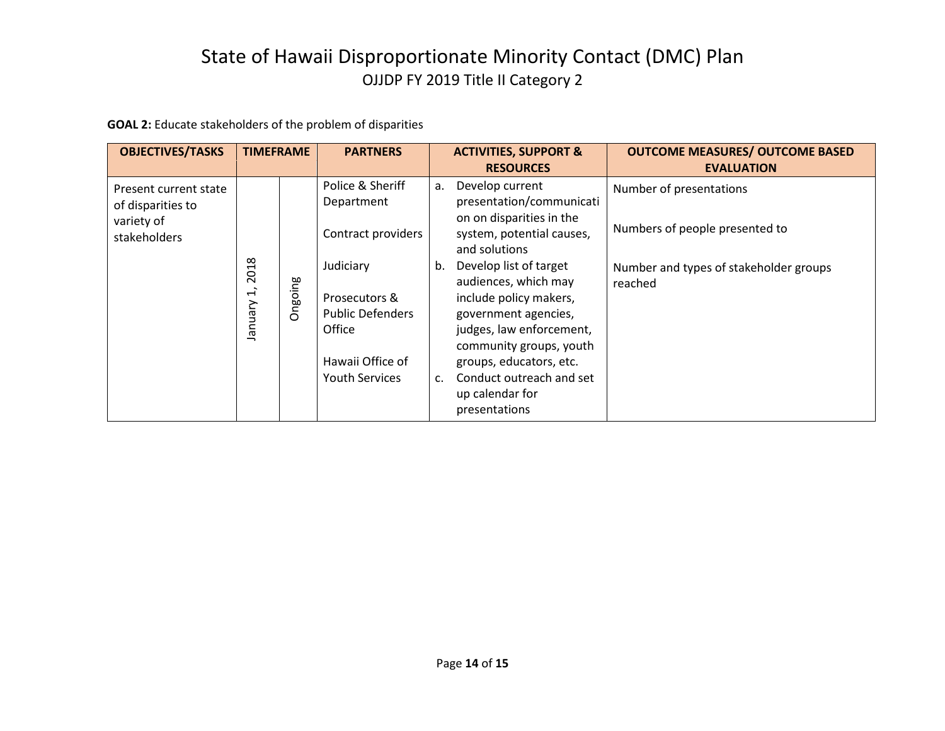**GOAL 2:** Educate stakeholders of the problem of disparities

| <b>OBJECTIVES/TASKS</b>                                                  | <b>TIMEFRAME</b>                             |         | <b>PARTNERS</b>                                                                                              |                      | <b>ACTIVITIES, SUPPORT &amp;</b><br><b>RESOURCES</b>                                                                                                                                                                                               | <b>OUTCOME MEASURES/ OUTCOME BASED</b><br><b>EVALUATION</b> |
|--------------------------------------------------------------------------|----------------------------------------------|---------|--------------------------------------------------------------------------------------------------------------|----------------------|----------------------------------------------------------------------------------------------------------------------------------------------------------------------------------------------------------------------------------------------------|-------------------------------------------------------------|
| Present current state<br>of disparities to<br>variety of<br>stakeholders |                                              |         | Police & Sheriff<br>Department<br>Contract providers                                                         | а.                   | Develop current<br>presentation/communicati<br>on on disparities in the<br>system, potential causes,<br>and solutions                                                                                                                              | Number of presentations<br>Numbers of people presented to   |
|                                                                          | 2018<br>$\overline{\mathfrak{t}}$<br>January | Ongoing | Judiciary<br>Prosecutors &<br><b>Public Defenders</b><br>Office<br>Hawaii Office of<br><b>Youth Services</b> | b.<br>$\mathsf{C}$ . | Develop list of target<br>audiences, which may<br>include policy makers,<br>government agencies,<br>judges, law enforcement,<br>community groups, youth<br>groups, educators, etc.<br>Conduct outreach and set<br>up calendar for<br>presentations | Number and types of stakeholder groups<br>reached           |